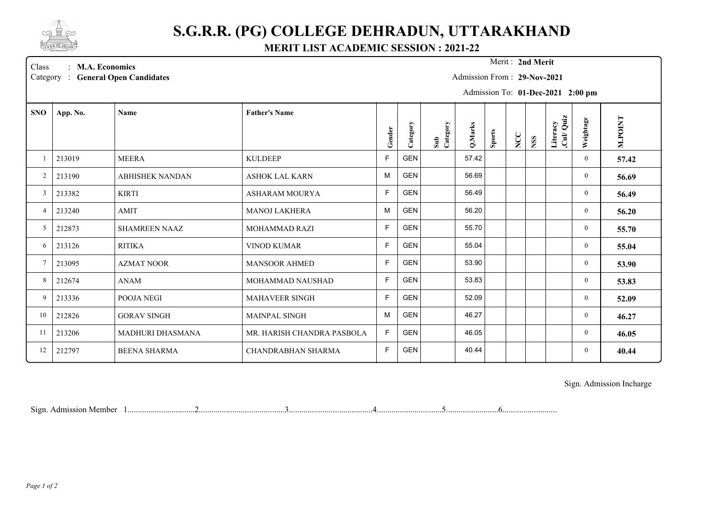

## **S.G.R.R. (PG) COLLEGE DEHRADUN, UTTARAKHAND**

**MERIT LIST ACADEMIC SESSION : 2021-22**

Merit: 2nd Merit

Class : **M.A. Economics Merit :** Category : General Open Candidates

Admission From : **29-Nov-2021**

Admission To: **01-Dec-2021 2:00 pm**

| <b>SNO</b>     | App. No. | <b>Name</b>            | <b>Father's Name</b>       | Gender       | Category   | Sub<br>Category | Q.Marks | <b>Sports</b> | NCC | <b>NSS</b> | Quiz<br>Literacy<br>$\mathbf{Cul}$ | Weightage      | M.POINT |
|----------------|----------|------------------------|----------------------------|--------------|------------|-----------------|---------|---------------|-----|------------|------------------------------------|----------------|---------|
|                | 213019   | <b>MEERA</b>           | <b>KULDEEP</b>             | $\mathsf{F}$ | <b>GEN</b> |                 | 57.42   |               |     |            |                                    | $\mathbf{0}$   |         |
|                |          |                        |                            |              |            |                 |         |               |     |            |                                    |                | 57.42   |
| 2              | 213190   | <b>ABHISHEK NANDAN</b> | <b>ASHOK LAL KARN</b>      | M            | <b>GEN</b> |                 | 56.69   |               |     |            |                                    | $\overline{0}$ | 56.69   |
| $\mathbf{3}$   | 213382   | <b>KIRTI</b>           | ASHARAM MOURYA             | $\mathsf{F}$ | <b>GEN</b> |                 | 56.49   |               |     |            |                                    | $\mathbf{0}$   | 56.49   |
| $\overline{4}$ | 213240   | AMIT                   | <b>MANOJ LAKHERA</b>       | M            | <b>GEN</b> |                 | 56.20   |               |     |            |                                    | $\overline{0}$ | 56.20   |
| 5              | 212873   | <b>SHAMREEN NAAZ</b>   | <b>MOHAMMAD RAZI</b>       | F            | GEN        |                 | 55.70   |               |     |            |                                    | $\overline{0}$ | 55.70   |
| 6              | 213126   | <b>RITIKA</b>          | <b>VINOD KUMAR</b>         | F            | <b>GEN</b> |                 | 55.04   |               |     |            |                                    | $\overline{0}$ | 55.04   |
| $\tau$         | 213095   | <b>AZMAT NOOR</b>      | <b>MANSOOR AHMED</b>       | E            | <b>GEN</b> |                 | 53.90   |               |     |            |                                    | $\overline{0}$ | 53.90   |
| 8              | 212674   | ANAM                   | <b>MOHAMMAD NAUSHAD</b>    | $\mathsf{F}$ | <b>GEN</b> |                 | 53.83   |               |     |            |                                    | $\overline{0}$ | 53.83   |
| 9              | 213336   | <b>POOJA NEGI</b>      | <b>MAHAVEER SINGH</b>      | F            | <b>GEN</b> |                 | 52.09   |               |     |            |                                    | $\overline{0}$ | 52.09   |
| 10             | 212826   | <b>GORAV SINGH</b>     | <b>MAINPAL SINGH</b>       | M            | <b>GEN</b> |                 | 46.27   |               |     |            |                                    | $\overline{0}$ | 46.27   |
| 11             | 213206   | MADHURI DHASMANA       | MR. HARISH CHANDRA PASBOLA | $\mathsf{F}$ | <b>GEN</b> |                 | 46.05   |               |     |            |                                    | $\overline{0}$ | 46.05   |
| 12             | 212797   | <b>BEENA SHARMA</b>    | <b>CHANDRABHAN SHARMA</b>  | $\mathsf{F}$ | <b>GEN</b> |                 | 40.44   |               |     |            |                                    | $\overline{0}$ | 40.44   |

Sign. Admission Incharge

Sign. Admission Member 1................................2.........................................3........................................4...............................5.........................6..........................